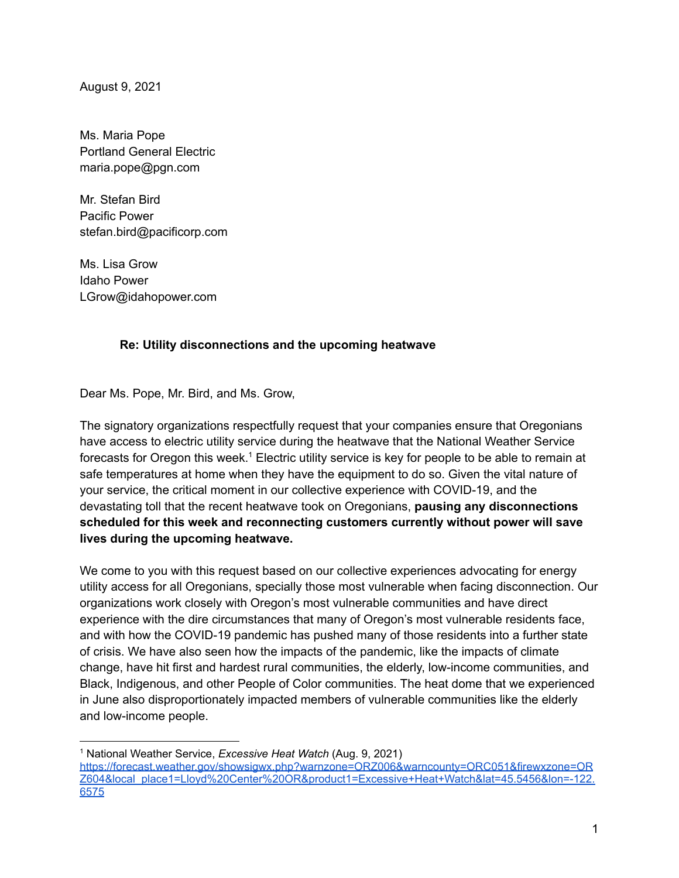August 9, 2021

Ms. Maria Pope Portland General Electric maria.pope@pgn.com

Mr. Stefan Bird Pacific Power stefan.bird@pacificorp.com

Ms. Lisa Grow Idaho Power LGrow@idahopower.com

## **Re: Utility disconnections and the upcoming heatwave**

Dear Ms. Pope, Mr. Bird, and Ms. Grow,

The signatory organizations respectfully request that your companies ensure that Oregonians have access to electric utility service during the heatwave that the National Weather Service forecasts for Oregon this week.<sup>1</sup> Electric utility service is key for people to be able to remain at safe temperatures at home when they have the equipment to do so. Given the vital nature of your service, the critical moment in our collective experience with COVID-19, and the devastating toll that the recent heatwave took on Oregonians, **pausing any disconnections scheduled for this week and reconnecting customers currently without power will save lives during the upcoming heatwave.**

We come to you with this request based on our collective experiences advocating for energy utility access for all Oregonians, specially those most vulnerable when facing disconnection. Our organizations work closely with Oregon's most vulnerable communities and have direct experience with the dire circumstances that many of Oregon's most vulnerable residents face, and with how the COVID-19 pandemic has pushed many of those residents into a further state of crisis. We have also seen how the impacts of the pandemic, like the impacts of climate change, have hit first and hardest rural communities, the elderly, low-income communities, and Black, Indigenous, and other People of Color communities. The heat dome that we experienced in June also disproportionately impacted members of vulnerable communities like the elderly and low-income people.

<sup>1</sup> National Weather Service, *Excessive Heat Watch* (Aug. 9, 2021)

[https://forecast.weather.gov/showsigwx.php?warnzone=ORZ006&warncounty=ORC051&firewxzone=OR](https://forecast.weather.gov/showsigwx.php?warnzone=ORZ006&warncounty=ORC051&firewxzone=ORZ604&local_place1=Lloyd%20Center%20OR&product1=Excessive+Heat+Watch&lat=45.5456&lon=-122.6575) [Z604&local\\_place1=Lloyd%20Center%20OR&product1=Excessive+Heat+Watch&lat=45.5456&lon=-122.](https://forecast.weather.gov/showsigwx.php?warnzone=ORZ006&warncounty=ORC051&firewxzone=ORZ604&local_place1=Lloyd%20Center%20OR&product1=Excessive+Heat+Watch&lat=45.5456&lon=-122.6575) [6575](https://forecast.weather.gov/showsigwx.php?warnzone=ORZ006&warncounty=ORC051&firewxzone=ORZ604&local_place1=Lloyd%20Center%20OR&product1=Excessive+Heat+Watch&lat=45.5456&lon=-122.6575)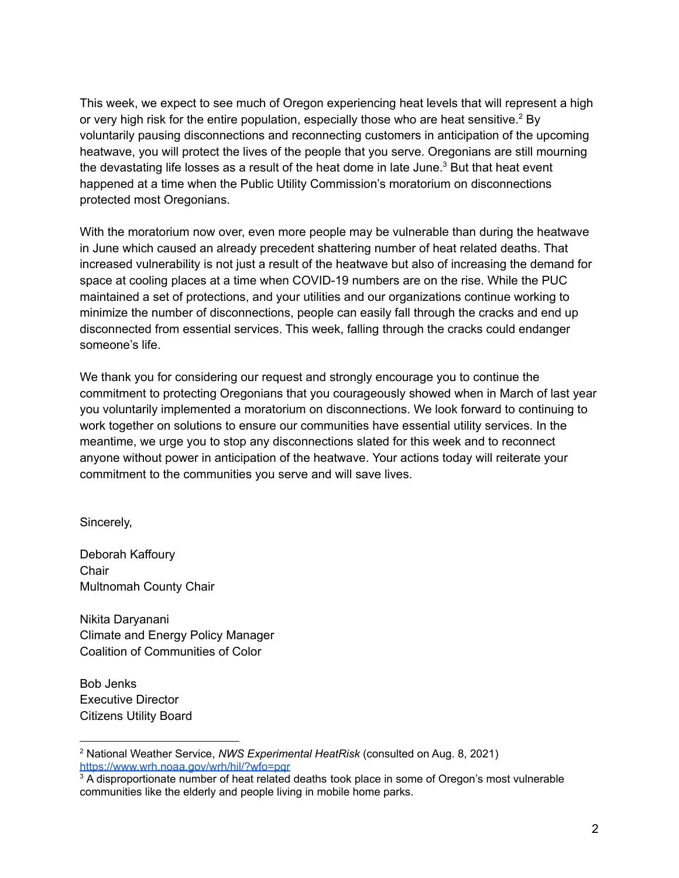This week, we expect to see much of Oregon experiencing heat levels that will represent a high or very high risk for the entire population, especially those who are heat sensitive.<sup>2</sup> By voluntarily pausing disconnections and reconnecting customers in anticipation of the upcoming heatwave, you will protect the lives of the people that you serve. Oregonians are still mourning the devastating life losses as a result of the heat dome in late June.<sup>3</sup> But that heat event happened at a time when the Public Utility Commission's moratorium on disconnections protected most Oregonians.

With the moratorium now over, even more people may be vulnerable than during the heatwave in June which caused an already precedent shattering number of heat related deaths. That increased vulnerability is not just a result of the heatwave but also of increasing the demand for space at cooling places at a time when COVID-19 numbers are on the rise. While the PUC maintained a set of protections, and your utilities and our organizations continue working to minimize the number of disconnections, people can easily fall through the cracks and end up disconnected from essential services. This week, falling through the cracks could endanger someone's life.

We thank you for considering our request and strongly encourage you to continue the commitment to protecting Oregonians that you courageously showed when in March of last year you voluntarily implemented a moratorium on disconnections. We look forward to continuing to work together on solutions to ensure our communities have essential utility services. In the meantime, we urge you to stop any disconnections slated for this week and to reconnect anyone without power in anticipation of the heatwave. Your actions today will reiterate your commitment to the communities you serve and will save lives.

Sincerely,

Deborah Kaffoury **Chair** Multnomah County Chair

Nikita Daryanani Climate and Energy Policy Manager Coalition of Communities of Color

Bob Jenks Executive Director Citizens Utility Board

<sup>2</sup> National Weather Service, *NWS Experimental HeatRisk* (consulted on Aug. 8, 2021) <https://www.wrh.noaa.gov/wrh/hil/?wfo=pqr>

<sup>&</sup>lt;sup>3</sup> A disproportionate number of heat related deaths took place in some of Oregon's most vulnerable communities like the elderly and people living in mobile home parks.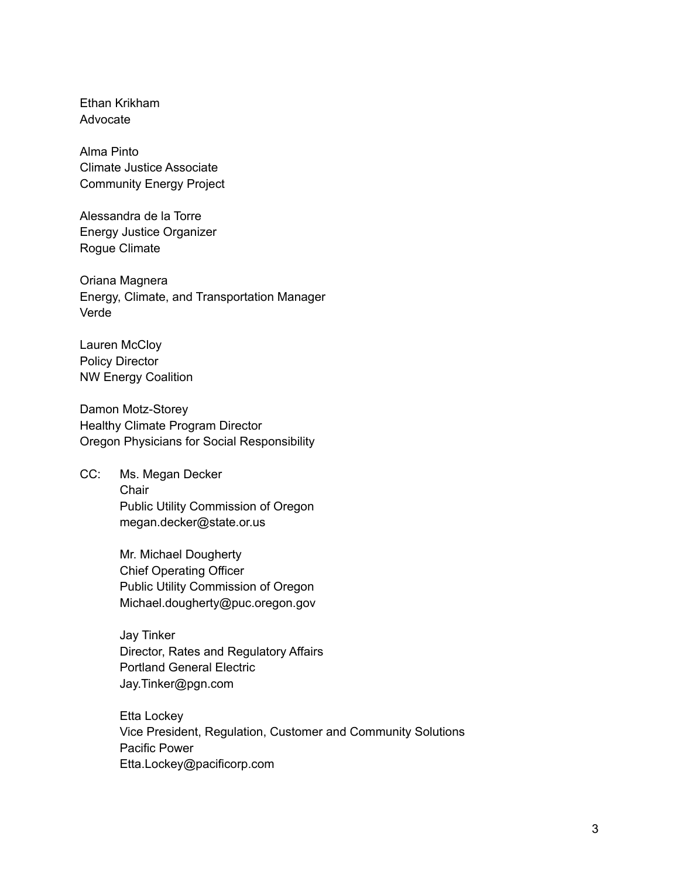Ethan Krikham Advocate

Alma Pinto Climate Justice Associate Community Energy Project

Alessandra de la Torre Energy Justice Organizer Rogue Climate

Oriana Magnera Energy, Climate, and Transportation Manager Verde

Lauren McCloy Policy Director NW Energy Coalition

Damon Motz-Storey Healthy Climate Program Director Oregon Physicians for Social Responsibility

CC: Ms. Megan Decker **Chair** Public Utility Commission of Oregon megan.decker@state.or.us

> Mr. Michael Dougherty Chief Operating Officer Public Utility Commission of Oregon Michael.dougherty@puc.oregon.gov

Jay Tinker Director, Rates and Regulatory Affairs Portland General Electric Jay.Tinker@pgn.com

Etta Lockey Vice President, Regulation, Customer and Community Solutions Pacific Power Etta.Lockey@pacificorp.com